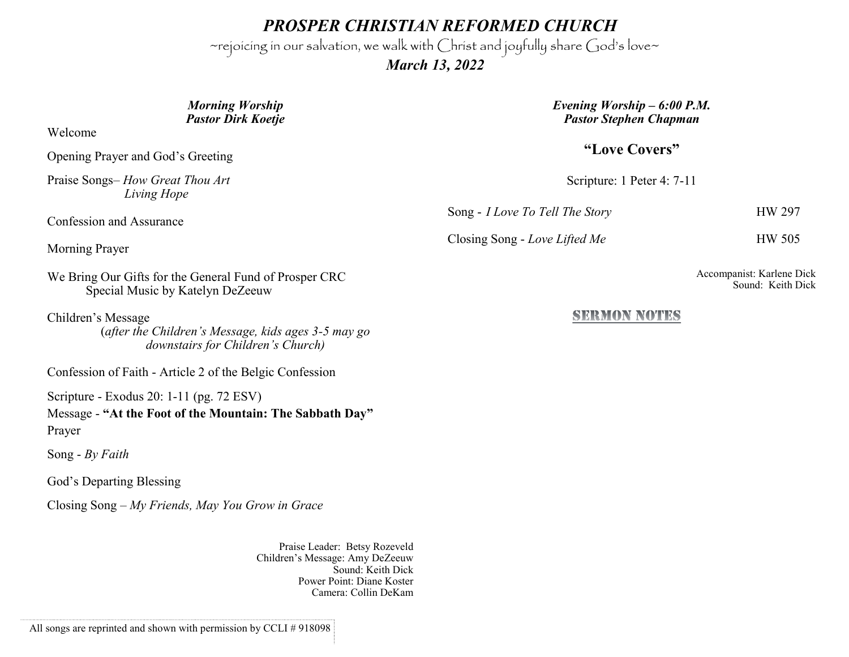*PROSPER CHRISTIAN REFORMED CHURCH*

~rejoicing in our salvation, we walk with Christ and joyfully share God's love~

 *March 13, 2022*

## *Morning Worship Pastor Dirk Koetje*

Welcome

Opening Prayer and God's Greeting

Praise Songs– *How Great Thou Art Living Hope*

Confession and Assurance

Morning Prayer

We Bring Our Gifts for the General Fund of Prosper CRC Special Music by Katelyn DeZeeuw

Children's Message

(*after the Children's Message, kids ages 3-5 may go downstairs for Children's Church)*

Confession of Faith - Article 2 of the Belgic Confession

Scripture - Exodus 20: 1-11 (pg. 72 ESV)

Message - **"At the Foot of the Mountain: The Sabbath Day"** Prayer

Song - *By Faith*

God's Departing Blessing

Closing Song – *My Friends, May You Grow in Grace*

Praise Leader: Betsy Rozeveld Children's Message: Amy DeZeeuw Sound: Keith Dick Power Point: Diane Koster Camera: Collin DeKam

*Evening Worship – 6:00 P.M. Pastor Stephen Chapman*

**"Love Covers"**

Scripture: 1 Peter 4: 7-11

Song - *I Love To Tell The Story* HW 297

Closing Song - *Love Lifted Me* HW 505

Accompanist: Karlene Dick Sound: Keith Dick

## **SERMON NOTES**